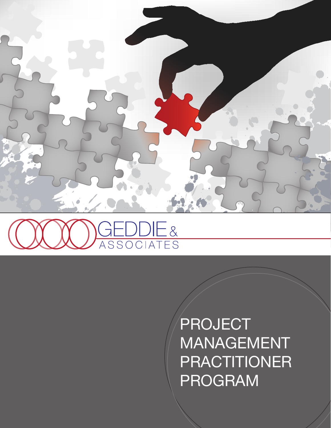



PROJECT MANAGEMENT PRACTITIONER PROGRAM